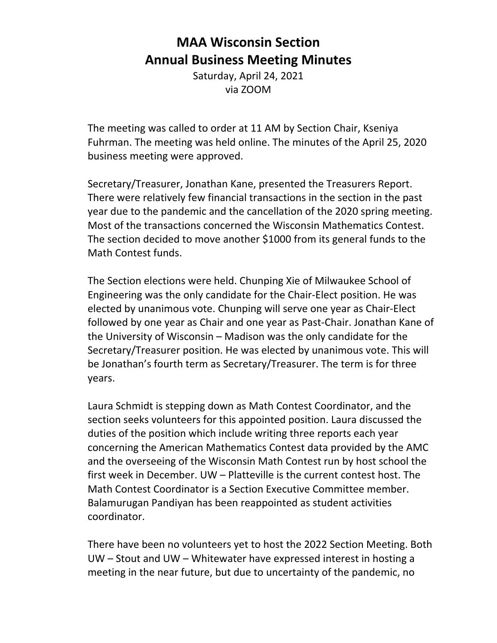## **MAA Wisconsin Section Annual Business Meeting Minutes**

Saturday, April 24, 2021 via ZOOM

The meeting was called to order at 11 AM by Section Chair, Kseniya Fuhrman. The meeting was held online. The minutes of the April 25, 2020 business meeting were approved.

Secretary/Treasurer, Jonathan Kane, presented the Treasurers Report. There were relatively few financial transactions in the section in the past year due to the pandemic and the cancellation of the 2020 spring meeting. Most of the transactions concerned the Wisconsin Mathematics Contest. The section decided to move another \$1000 from its general funds to the Math Contest funds.

The Section elections were held. Chunping Xie of Milwaukee School of Engineering was the only candidate for the Chair‐Elect position. He was elected by unanimous vote. Chunping will serve one year as Chair‐Elect followed by one year as Chair and one year as Past‐Chair. Jonathan Kane of the University of Wisconsin – Madison was the only candidate for the Secretary/Treasurer position. He was elected by unanimous vote. This will be Jonathan's fourth term as Secretary/Treasurer. The term is for three years.

Laura Schmidt is stepping down as Math Contest Coordinator, and the section seeks volunteers for this appointed position. Laura discussed the duties of the position which include writing three reports each year concerning the American Mathematics Contest data provided by the AMC and the overseeing of the Wisconsin Math Contest run by host school the first week in December. UW – Platteville is the current contest host. The Math Contest Coordinator is a Section Executive Committee member. Balamurugan Pandiyan has been reappointed as student activities coordinator.

There have been no volunteers yet to host the 2022 Section Meeting. Both UW – Stout and UW – Whitewater have expressed interest in hosting a meeting in the near future, but due to uncertainty of the pandemic, no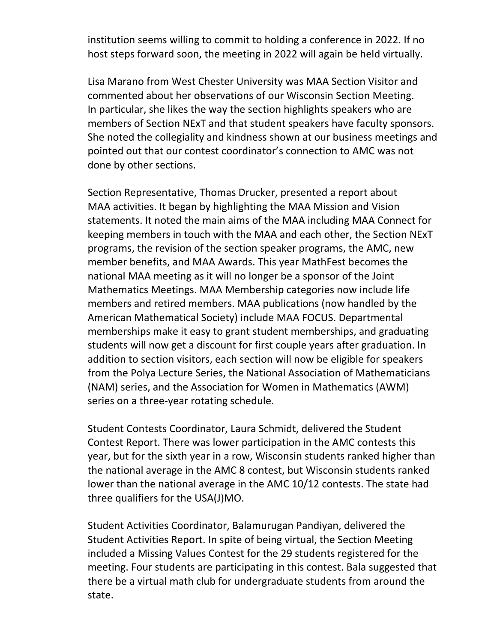institution seems willing to commit to holding a conference in 2022. If no host steps forward soon, the meeting in 2022 will again be held virtually.

Lisa Marano from West Chester University was MAA Section Visitor and commented about her observations of our Wisconsin Section Meeting. In particular, she likes the way the section highlights speakers who are members of Section NExT and that student speakers have faculty sponsors. She noted the collegiality and kindness shown at our business meetings and pointed out that our contest coordinator's connection to AMC was not done by other sections.

Section Representative, Thomas Drucker, presented a report about MAA activities. It began by highlighting the MAA Mission and Vision statements. It noted the main aims of the MAA including MAA Connect for keeping members in touch with the MAA and each other, the Section NExT programs, the revision of the section speaker programs, the AMC, new member benefits, and MAA Awards. This year MathFest becomes the national MAA meeting as it will no longer be a sponsor of the Joint Mathematics Meetings. MAA Membership categories now include life members and retired members. MAA publications (now handled by the American Mathematical Society) include MAA FOCUS. Departmental memberships make it easy to grant student memberships, and graduating students will now get a discount for first couple years after graduation. In addition to section visitors, each section will now be eligible for speakers from the Polya Lecture Series, the National Association of Mathematicians (NAM) series, and the Association for Women in Mathematics (AWM) series on a three-year rotating schedule.

Student Contests Coordinator, Laura Schmidt, delivered the Student Contest Report. There was lower participation in the AMC contests this year, but for the sixth year in a row, Wisconsin students ranked higher than the national average in the AMC 8 contest, but Wisconsin students ranked lower than the national average in the AMC 10/12 contests. The state had three qualifiers for the USA(J)MO.

Student Activities Coordinator, Balamurugan Pandiyan, delivered the Student Activities Report. In spite of being virtual, the Section Meeting included a Missing Values Contest for the 29 students registered for the meeting. Four students are participating in this contest. Bala suggested that there be a virtual math club for undergraduate students from around the state.